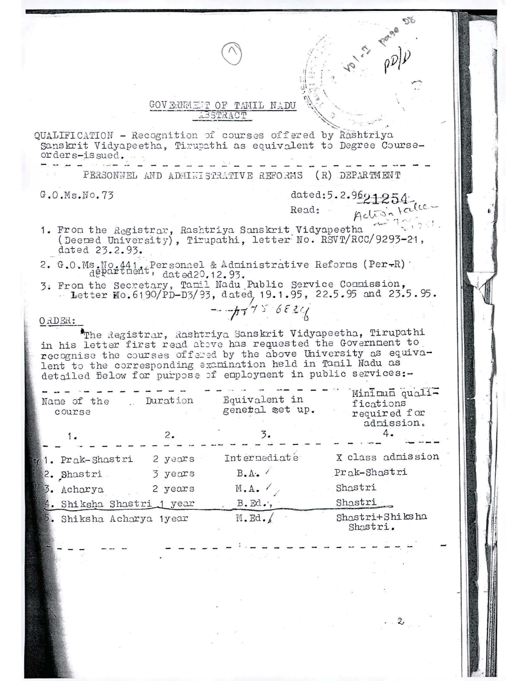## GOVERNMENT OF TAMIL NADU BSTRACT

QUALIFICATION - Recognition of courses offered by Rashtriya Sanskrit Vidyapeetha, Tirupathi as equivalent to Degree Courseorders-issued.

PERSONNEL AND ADMINISTRATIVE REFORMS (R) DEPARTMENT

 $G.0.Ms.Wo.73$ 

dated:5.2.969125

- Read:
- 1. From the Registrar, Rashtriya Sanskrit Vidyapeetha (Deemed University), Tirupathi, letter No. RSVT/RCC/9293-21, dated 23.2.93.
- 2. G.O.Ms.No.441, Personnel & Administrative Reforms (Per-R)<br>department, dated<br>20.12.93.
- 3. From the Secretary, Tamil Nadu Public Service Commission, - Letter No. 6190/PD-D3/93, dated, 19.1.95, 22.5.95 and 23.5.95.

 $-7756886$ 

## ORDER:

The Registrar, Rashtriya Sanskrit Vidyapeetha, Tirupathi in his letter first read above has requested the Government to recognise the courses offered by the above University as equivalent to the corresponding examination held in Tamil Nadu as detailed Below for purpose of employment in public services:-

|    | Name of the<br>course     | Duration | Equivalent in<br>genetal set up. | Minimum quali-<br>fications<br>required for<br>admission. |
|----|---------------------------|----------|----------------------------------|-----------------------------------------------------------|
|    | 1.                        | 2.       |                                  |                                                           |
|    | 1. Prak-Shastri           | 2 years  | Internediate                     | X class admission                                         |
|    | 2. Shastri                | 3 years  | B.A.                             | Prak-Shastri                                              |
| 3. | Acharya                   | 2 years  | M.A.                             | Shastri                                                   |
|    | 4. Shiksha Shastri 1 year |          | $B$ . Ed.,                       | Shastri                                                   |
|    | 5. Shiksha Acharya 1year  |          | $M$ . Ed. $/$                    | Shastri+Shiksha<br>Shastri.                               |